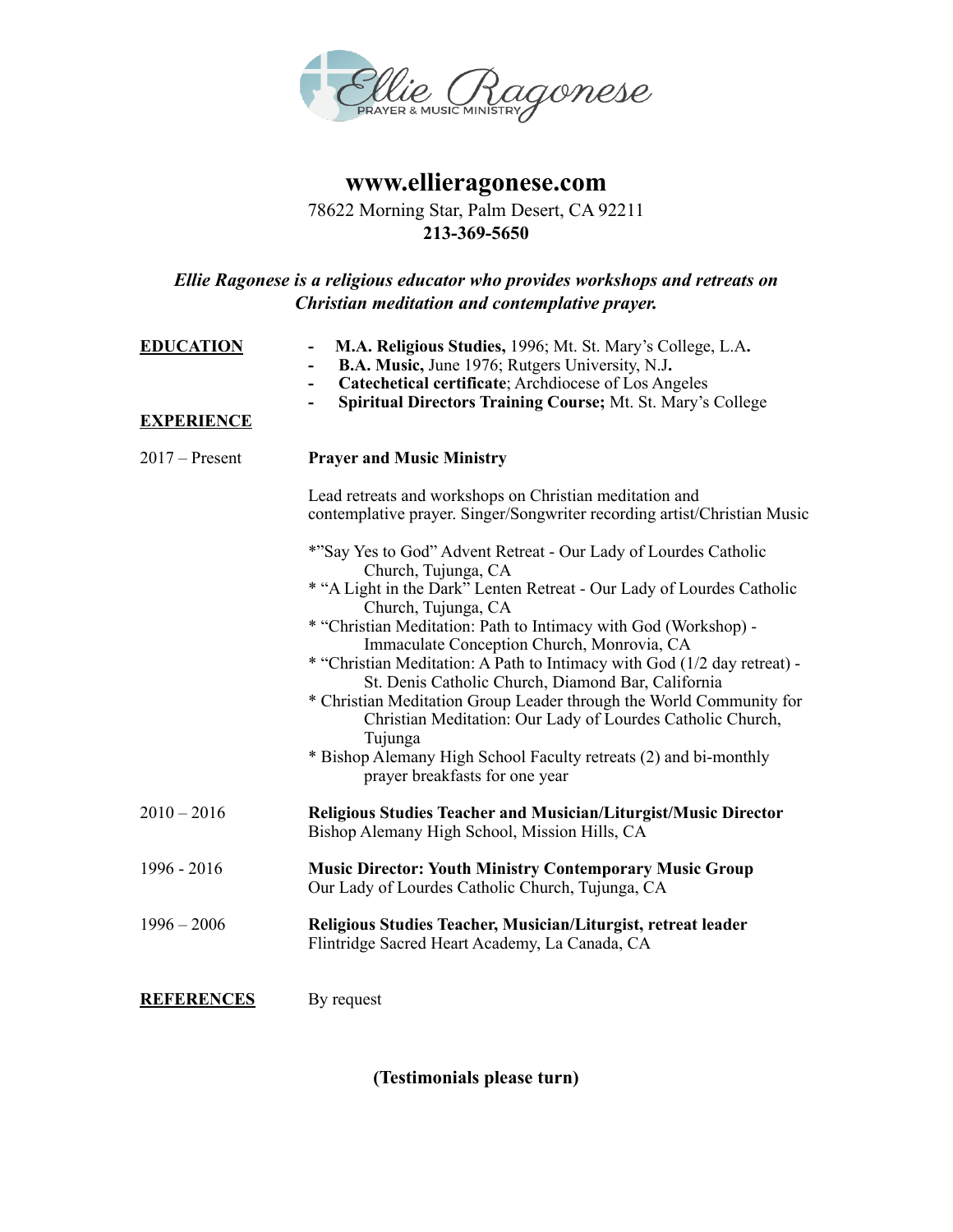

## **www.ellieragonese.com**

## 78622 Morning Star, Palm Desert, CA 92211 **213-369-5650**

## *Ellie Ragonese is a religious educator who provides workshops and retreats on Christian meditation and contemplative prayer.*

| <b>EDUCATION</b><br><b>EXPERIENCE</b> | M.A. Religious Studies, 1996; Mt. St. Mary's College, L.A.<br><b>B.A. Music, June 1976; Rutgers University, N.J.</b><br>Catechetical certificate; Archdiocese of Los Angeles<br>$\qquad \qquad \blacksquare$<br>Spiritual Directors Training Course; Mt. St. Mary's College<br>۰                                                                                                                                                                                                                                                                                                                                                                                                                |
|---------------------------------------|-------------------------------------------------------------------------------------------------------------------------------------------------------------------------------------------------------------------------------------------------------------------------------------------------------------------------------------------------------------------------------------------------------------------------------------------------------------------------------------------------------------------------------------------------------------------------------------------------------------------------------------------------------------------------------------------------|
| $2017$ – Present                      | <b>Prayer and Music Ministry</b>                                                                                                                                                                                                                                                                                                                                                                                                                                                                                                                                                                                                                                                                |
|                                       | Lead retreats and workshops on Christian meditation and<br>contemplative prayer. Singer/Songwriter recording artist/Christian Music                                                                                                                                                                                                                                                                                                                                                                                                                                                                                                                                                             |
|                                       | *"Say Yes to God" Advent Retreat - Our Lady of Lourdes Catholic<br>Church, Tujunga, CA<br>* "A Light in the Dark" Lenten Retreat - Our Lady of Lourdes Catholic<br>Church, Tujunga, CA<br>* "Christian Meditation: Path to Intimacy with God (Workshop) -<br>Immaculate Conception Church, Monrovia, CA<br>* "Christian Meditation: A Path to Intimacy with God (1/2 day retreat) -<br>St. Denis Catholic Church, Diamond Bar, California<br>* Christian Meditation Group Leader through the World Community for<br>Christian Meditation: Our Lady of Lourdes Catholic Church,<br>Tujunga<br>* Bishop Alemany High School Faculty retreats (2) and bi-monthly<br>prayer breakfasts for one year |
| $2010 - 2016$                         | <b>Religious Studies Teacher and Musician/Liturgist/Music Director</b><br>Bishop Alemany High School, Mission Hills, CA                                                                                                                                                                                                                                                                                                                                                                                                                                                                                                                                                                         |
| 1996 - 2016                           | <b>Music Director: Youth Ministry Contemporary Music Group</b><br>Our Lady of Lourdes Catholic Church, Tujunga, CA                                                                                                                                                                                                                                                                                                                                                                                                                                                                                                                                                                              |
| $1996 - 2006$                         | Religious Studies Teacher, Musician/Liturgist, retreat leader<br>Flintridge Sacred Heart Academy, La Canada, CA                                                                                                                                                                                                                                                                                                                                                                                                                                                                                                                                                                                 |
| <b>REFERENCES</b>                     | By request                                                                                                                                                                                                                                                                                                                                                                                                                                                                                                                                                                                                                                                                                      |

**(Testimonials please turn)**